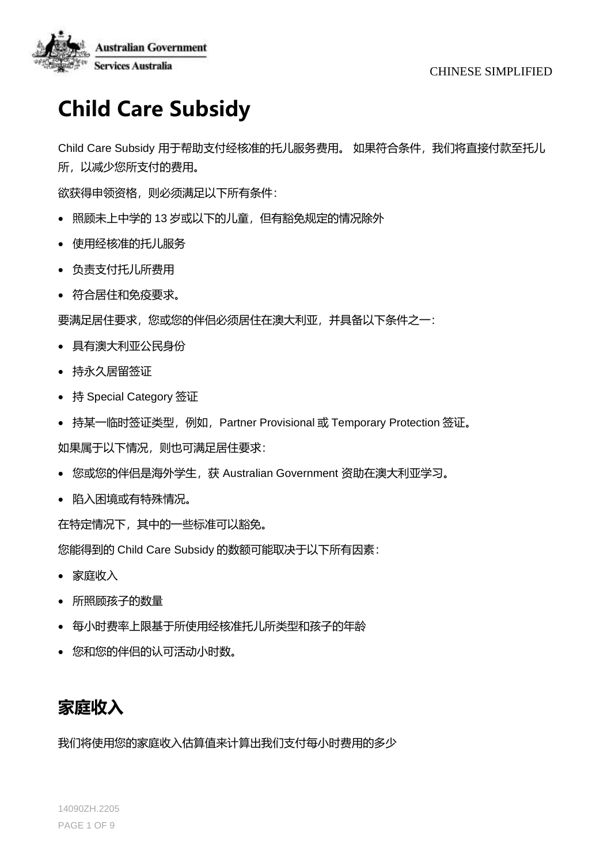

# **Child Care Subsidy**

Child Care Subsidy 用于帮助支付经核准的托儿服务费用。如果符合条件,我们将直接付款至托儿 所,以减少您所支付的费用。

欲获得申领资格,则必须满足以下所有条件:

- 照顾未上中学的 13 岁或以下的儿童,但有豁免规定的情况除外
- 使用经核准的托儿服务
- 负责支付托儿所费用
- 符合居住和免疫要求。

要满足居住要求,您或您的伴侣必须居住在澳大利亚,并具备以下条件之一:

- 具有澳大利亚公民身份
- 持永久居留签证
- 持 Special Category 签证
- 持某一临时签证类型, 例如, Partner Provisional 或 Temporary Protection 签证。

如果属于以下情况, 则也可满足居住要求:

- 您或您的伴侣是海外学生,获 Australian Government 资助在澳大利亚学习。
- 陷入困境或有特殊情况。

在特定情况下,其中的一些标准可以豁免。

您能得到的 Child Care Subsidy 的数额可能取决于以下所有因素:

- 家庭收入
- 所照顾孩子的数量
- 每小时费率上限基于所使用经核准托儿所类型和孩子的年龄
- 您和您的伴侣的认可活动小时数。

## **家庭收入**

我们将使用您的家庭收入估算值来计算出我们支付每小时费用的多少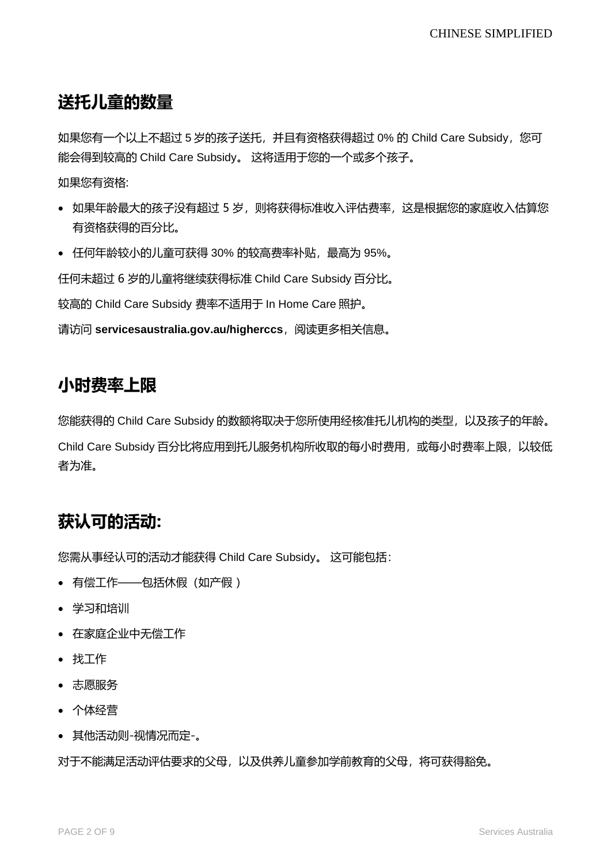## **送托儿童的数量**

如果您有一个以上不超过 5 岁的孩子送托, 并且有资格获得超过 0% 的 Child Care Subsidy, 您可 能会得到较高的 Child Care Subsidy。 这将适用于您的一个或多个孩子。

如果您有资格:

- 如果年龄最大的孩子没有超过 5 岁, 则将获得标准收入评估费率, 这是根据您的家庭收入估算您 有资格获得的百分比。
- 任何年龄较小的儿童可获得 30% 的较高费率补贴,最高为 95%。

任何未超过 6 岁的儿童将继续获得标准 Child Care Subsidy 百分比。

较高的 Child Care Subsidy 费率不适用于 In Home Care 照护。

请访问 servicesaustralia.gov.au/higherccs, 阅读更多相关信息。

#### **小时费率上限**

您能获得的 Child Care Subsidy 的数额将取决于您所使用经核准托儿机构的类型,以及孩子的年龄。

Child Care Subsidy 百分比将应用到托儿服务机构所收取的每小时费用, 或每小时费率上限, 以较低 者为准。

## **获认可的活动:**

您需从事经认可的活动才能获得 Child Care Subsidy。 这可能包括:

- 有偿工作——包括休假(如产假 )
- 学习和培训
- 在家庭企业中无偿工作
- 找工作
- 志愿服务
- 个体经营
- 其他活动则-视情况而定-。

对于不能满足活动评估要求的父母,以及供养儿童参加学前教育的父母,将可获得豁免。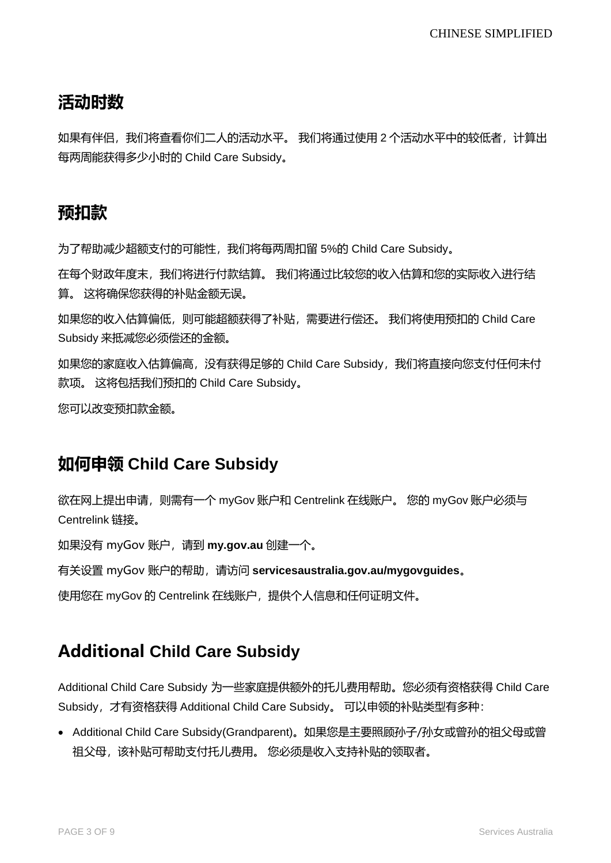## **活动时数**

如果有伴侣,我们将查看你们二人的活动水平。 我们将通过使用 2 个活动水平中的较低者,计算出 每两周能获得多少小时的 Child Care Subsidy。

## **预扣款**

为了帮助减少超额支付的可能性,我们将每两周扣留 5%的 Child Care Subsidy。

在每个财政年度末,我们将进行付款结算。 我们将通过比较您的收入估算和您的实际收入进行结 算。 这将确保您获得的补贴金额无误。

如果您的收入估算偏低,则可能超额获得了补贴,需要进行偿还。 我们将使用预扣的 Child Care Subsidy 来抵减您必须偿还的金额。

如果您的家庭收入估算偏高, 没有获得足够的 Child Care Subsidy, 我们将直接向您支付任何未付 款项。 这将包括我们预扣的 Child Care Subsidy。

您可以改变预扣款金额。

## **如何申领 Child Care Subsidy**

欲在网上提出申请,则需有一个 myGov 账户和 Centrelink 在线账户。 您的 myGov 账户必须与 Centrelink 链接。

如果没有 myGov 账户,请到 **my.gov.au** 创建一个。

有关设置 myGov 账户的帮助,请访问 **servicesaustralia.gov.au/mygovguides**。

使用您在 myGov 的 Centrelink 在线账户, 提供个人信息和任何证明文件。

## **Additional Child Care Subsidy**

Additional Child Care Subsidy 为一些家庭提供额外的托儿费用帮助。您必须有资格获得 Child Care Subsidy,才有资格获得 Additional Child Care Subsidy。 可以申领的补贴类型有多种:

• Additional Child Care Subsidy(Grandparent)。如果您是主要照顾孙子/孙女或曾孙的祖父母或曾 祖父母,该补贴可帮助支付托儿费用。 您必须是收入支持补贴的领取者。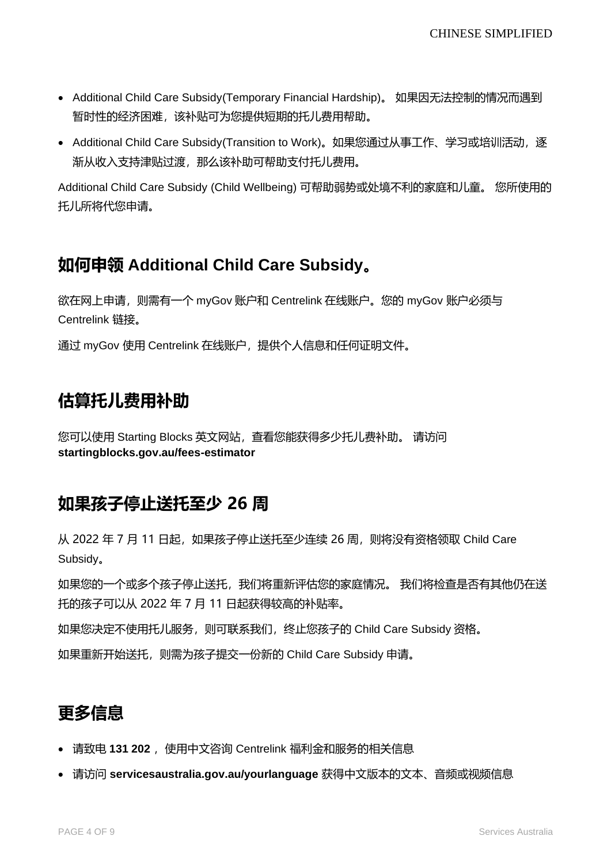- Additional Child Care Subsidy(Temporary Financial Hardship)。 如果因无法控制的情况而遇到 暂时性的经济困难,该补贴可为您提供短期的托儿费用帮助。
- Additional Child Care Subsidy(Transition to Work)。如果您通过从事工作、学习或培训活动,逐 渐从收入支持津贴过渡,那么该补助可帮助支付托儿费用。

Additional Child Care Subsidy (Child Wellbeing) 可帮助弱势或处境不利的家庭和儿童。 您所使用的 托儿所将代您申请。

## **如何申领 Additional Child Care Subsidy。**

欲在网上申请,则需有一个 myGov 账户和 Centrelink 在线账户。您的 myGov 账户必须与 Centrelink 链接。

通过 myGov 使用 Centrelink 在线账户, 提供个人信息和任何证明文件。

## **估算托儿费用补助**

您可以使用 Starting Blocks 英文网站, 查看您能获得多少托儿费补助。 请访问 **startingblocks.gov.au/fees-estimator**

## **如果孩子停止送托至少 26 周**

从 2022 年 7 月 11 日起, 如果孩子停止送托至少连续 26 周, 则将没有资格领取 Child Care Subsidy。

如果您的一个或多个孩子停止送托,我们将重新评估您的家庭情况。 我们将检查是否有其他仍在送 托的孩子可以从 2022 年 7 月 11 日起获得较高的补贴率。

如果您决定不使用托儿服务, 则可联系我们, 终止您孩子的 Child Care Subsidy 资格。

如果重新开始送托,则需为孩子提交一份新的 Child Care Subsidy 申请。

## **更多信息**

- 请致电 131 202 , 使用中文咨询 Centrelink 福利金和服务的相关信息
- 请访问 **[servicesaustralia.gov.au/yourlanguage](http://humanservices.gov.au/yourlanguage)** 获得中文版本的文本、音频或视频信息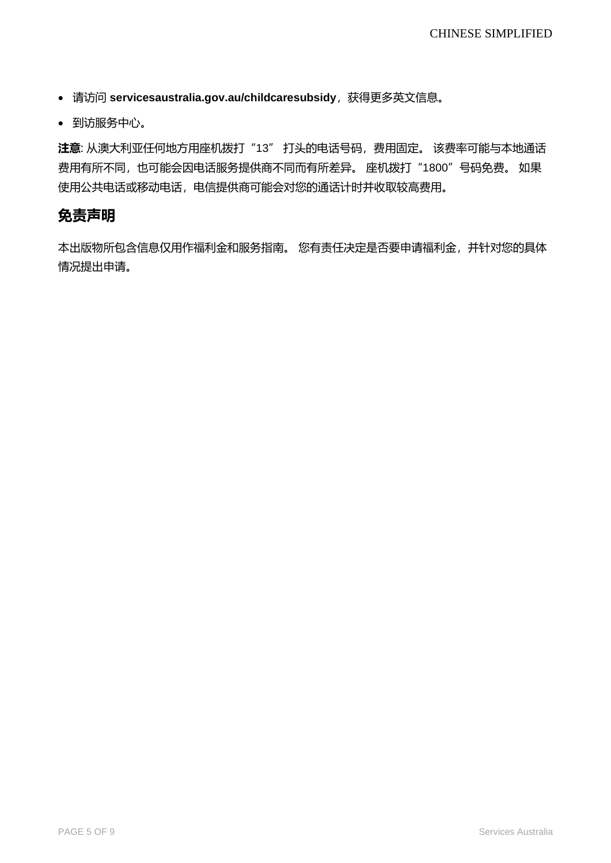- 请访问 [servicesaustralia.gov.au/childcaresubsidy](https://www.humanservices.gov.au/individuals/services/centrelink/child-care-subsidy), 获得更多英文信息。
- 到访服务中心。

**注意**: 从澳大利亚任何地方用座机拨打"13" 打头的电话号码,费用固定。 该费率可能与本地通话 费用有所不同,也可能会因电话服务提供商不同而有所差异。 座机拨打"1800"号码免费。 如果 使用公共电话或移动电话,电信提供商可能会对您的通话计时并收取较高费用。

#### **免责声明**

本出版物所包含信息仅用作福利金和服务指南。 您有责任决定是否要申请福利金,并针对您的具体 情况提出申请。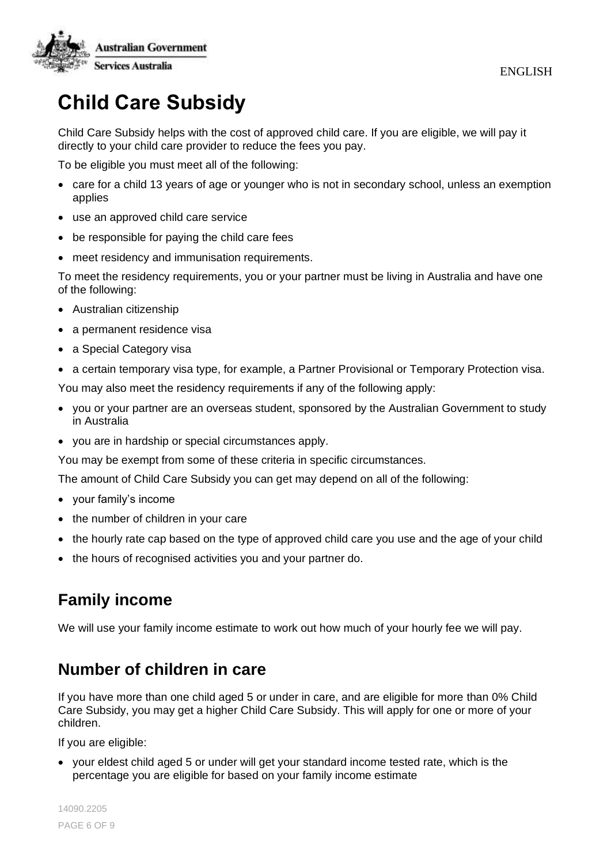

# **Child Care Subsidy**

Child Care Subsidy helps with the cost of approved child care. If you are eligible, we will pay it directly to your child care provider to reduce the fees you pay.

To be eligible you must meet all of the following:

- care for a child 13 years of age or younger who is not in secondary school, unless an exemption applies
- use an approved child care service
- be responsible for paying the child care fees
- meet residency and immunisation requirements.

To meet the residency requirements, you or your partner must be living in Australia and have one of the following:

- Australian citizenship
- a permanent residence visa
- a Special Category visa
- a certain temporary visa type, for example, a Partner Provisional or Temporary Protection visa.

You may also meet the residency requirements if any of the following apply:

- you or your partner are an overseas student, sponsored by the Australian Government to study in Australia
- you are in hardship or special circumstances apply.

You may be exempt from some of these criteria in specific circumstances.

The amount of Child Care Subsidy you can get may depend on all of the following:

- your family's income
- the number of children in your care
- the hourly rate cap based on the type of approved child care you use and the age of your child
- the hours of recognised activities you and your partner do.

## **Family income**

We will use your family income estimate to work out how much of your hourly fee we will pay.

#### **Number of children in care**

If you have more than one child aged 5 or under in care, and are eligible for more than 0% Child Care Subsidy, you may get a higher Child Care Subsidy. This will apply for one or more of your children.

If you are eligible:

• your eldest child aged 5 or under will get your standard income tested rate, which is the percentage you are eligible for based on your family income estimate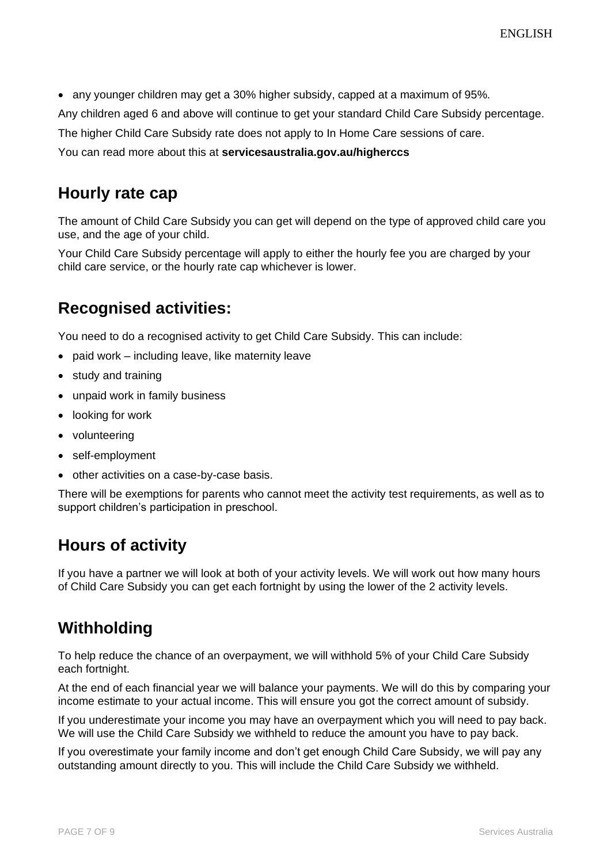• any younger children may get a 30% higher subsidy, capped at a maximum of 95%.

Any children aged 6 and above will continue to get your standard Child Care Subsidy percentage.

The higher Child Care Subsidy rate does not apply to In Home Care sessions of care.

You can read more about this at **servicesaustralia.gov.au/higherccs**

#### **Hourly rate cap**

The amount of Child Care Subsidy you can get will depend on the type of approved child care you use, and the age of your child.

Your Child Care Subsidy percentage will apply to either the hourly fee you are charged by your child care service, or the hourly rate cap whichever is lower.

#### **Recognised activities:**

You need to do a recognised activity to get Child Care Subsidy. This can include:

- paid work including leave, like maternity leave
- study and training
- unpaid work in family business
- looking for work
- volunteering
- self-employment
- other activities on a case-by-case basis.

There will be exemptions for parents who cannot meet the activity test requirements, as well as to support children's participation in preschool.

#### **Hours of activity**

If you have a partner we will look at both of your activity levels. We will work out how many hours of Child Care Subsidy you can get each fortnight by using the lower of the 2 activity levels.

#### **Withholding**

To help reduce the chance of an overpayment, we will withhold 5% of your Child Care Subsidy each fortnight.

At the end of each financial year we will balance your payments. We will do this by comparing your income estimate to your actual income. This will ensure you got the correct amount of subsidy.

If you underestimate your income you may have an overpayment which you will need to pay back. We will use the Child Care Subsidy we withheld to reduce the amount you have to pay back.

If you overestimate your family income and don't get enough Child Care Subsidy, we will pay any outstanding amount directly to you. This will include the Child Care Subsidy we withheld.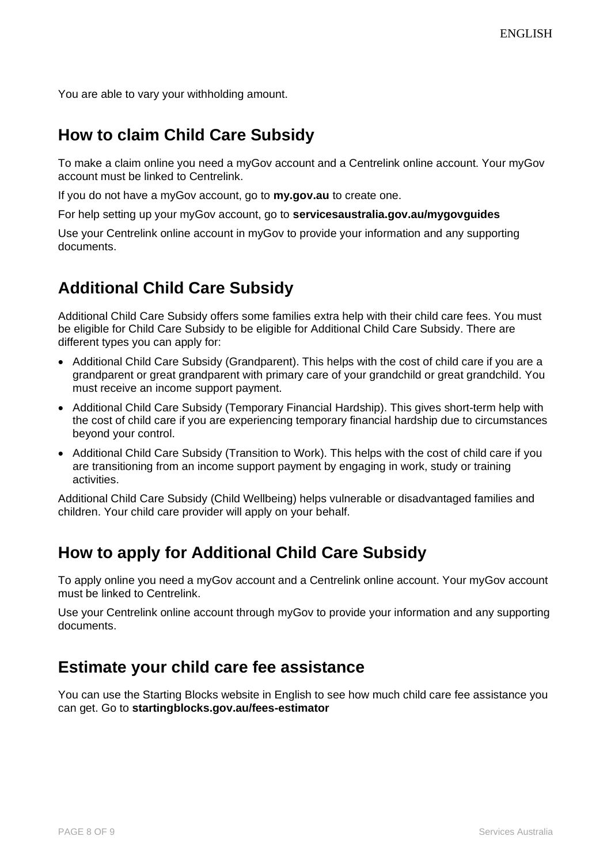You are able to vary your withholding amount.

#### **How to claim Child Care Subsidy**

To make a claim online you need a myGov account and a Centrelink online account. Your myGov account must be linked to Centrelink.

If you do not have a myGov account, go to **my.gov.au** to create one.

For help setting up your myGov account, go to **servicesaustralia.gov.au/mygovguides**

Use your Centrelink online account in myGov to provide your information and any supporting documents.

## **Additional Child Care Subsidy**

Additional Child Care Subsidy offers some families extra help with their child care fees. You must be eligible for Child Care Subsidy to be eligible for Additional Child Care Subsidy. There are different types you can apply for:

- Additional Child Care Subsidy (Grandparent). This helps with the cost of child care if you are a grandparent or great grandparent with primary care of your grandchild or great grandchild. You must receive an income support payment.
- Additional Child Care Subsidy (Temporary Financial Hardship). This gives short-term help with the cost of child care if you are experiencing temporary financial hardship due to circumstances beyond your control.
- Additional Child Care Subsidy (Transition to Work). This helps with the cost of child care if you are transitioning from an income support payment by engaging in work, study or training activities.

Additional Child Care Subsidy (Child Wellbeing) helps vulnerable or disadvantaged families and children. Your child care provider will apply on your behalf.

## **How to apply for Additional Child Care Subsidy**

To apply online you need a myGov account and a Centrelink online account. Your myGov account must be linked to Centrelink.

Use your Centrelink online account through myGov to provide your information and any supporting documents.

#### **Estimate your child care fee assistance**

You can use the Starting Blocks website in English to see how much child care fee assistance you can get. Go to **startingblocks.gov.au/fees-estimator**